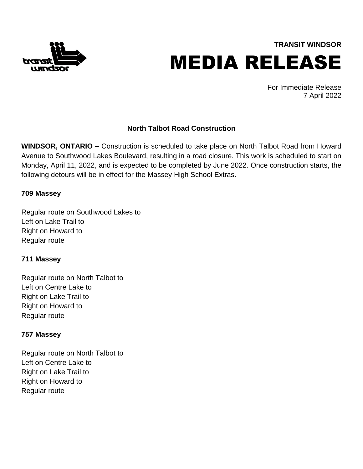

**TRANSIT WINDSOR** MEDIA RELEASE

> For Immediate Release 7 April 2022

# **North Talbot Road Construction**

**WINDSOR, ONTARIO –** Construction is scheduled to take place on North Talbot Road from Howard Avenue to Southwood Lakes Boulevard, resulting in a road closure. This work is scheduled to start on Monday, April 11, 2022, and is expected to be completed by June 2022. Once construction starts, the following detours will be in effect for the Massey High School Extras.

### **709 Massey**

Regular route on Southwood Lakes to Left on Lake Trail to Right on Howard to Regular route

#### **711 Massey**

Regular route on North Talbot to Left on Centre Lake to Right on Lake Trail to Right on Howard to Regular route

#### **757 Massey**

Regular route on North Talbot to Left on Centre Lake to Right on Lake Trail to Right on Howard to Regular route